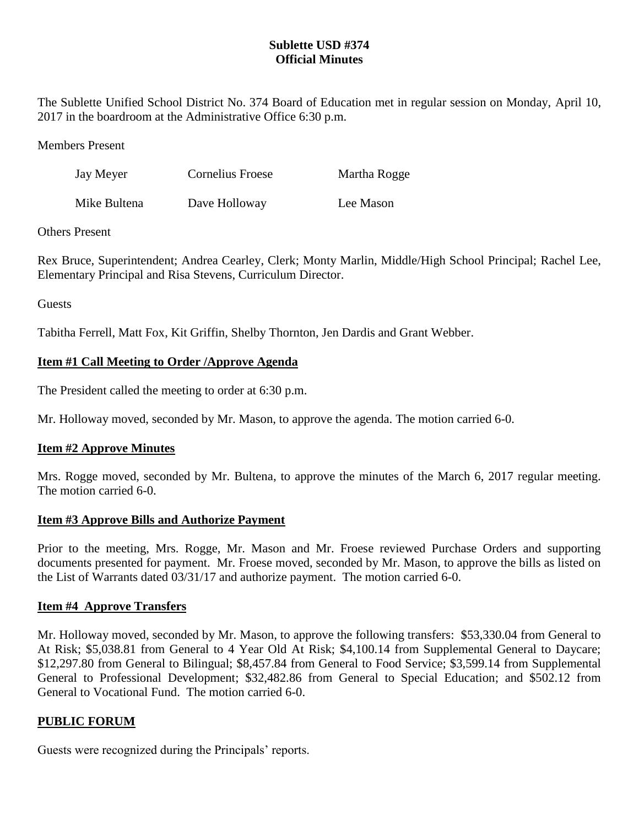# **Sublette USD #374 Official Minutes**

The Sublette Unified School District No. 374 Board of Education met in regular session on Monday, April 10, 2017 in the boardroom at the Administrative Office 6:30 p.m.

Members Present

| Jay Meyer    | Cornelius Froese | Martha Rogge |
|--------------|------------------|--------------|
| Mike Bultena | Dave Holloway    | Lee Mason    |

## Others Present

Rex Bruce, Superintendent; Andrea Cearley, Clerk; Monty Marlin, Middle/High School Principal; Rachel Lee, Elementary Principal and Risa Stevens, Curriculum Director.

Guests

Tabitha Ferrell, Matt Fox, Kit Griffin, Shelby Thornton, Jen Dardis and Grant Webber.

# **Item #1 Call Meeting to Order /Approve Agenda**

The President called the meeting to order at 6:30 p.m.

Mr. Holloway moved, seconded by Mr. Mason, to approve the agenda. The motion carried 6-0.

## **Item #2 Approve Minutes**

Mrs. Rogge moved, seconded by Mr. Bultena, to approve the minutes of the March 6, 2017 regular meeting. The motion carried 6-0.

## **Item #3 Approve Bills and Authorize Payment**

Prior to the meeting, Mrs. Rogge, Mr. Mason and Mr. Froese reviewed Purchase Orders and supporting documents presented for payment. Mr. Froese moved, seconded by Mr. Mason, to approve the bills as listed on the List of Warrants dated 03/31/17 and authorize payment. The motion carried 6-0.

## **Item #4 Approve Transfers**

Mr. Holloway moved, seconded by Mr. Mason, to approve the following transfers: \$53,330.04 from General to At Risk; \$5,038.81 from General to 4 Year Old At Risk; \$4,100.14 from Supplemental General to Daycare; \$12,297.80 from General to Bilingual; \$8,457.84 from General to Food Service; \$3,599.14 from Supplemental General to Professional Development; \$32,482.86 from General to Special Education; and \$502.12 from General to Vocational Fund. The motion carried 6-0.

## **PUBLIC FORUM**

Guests were recognized during the Principals' reports.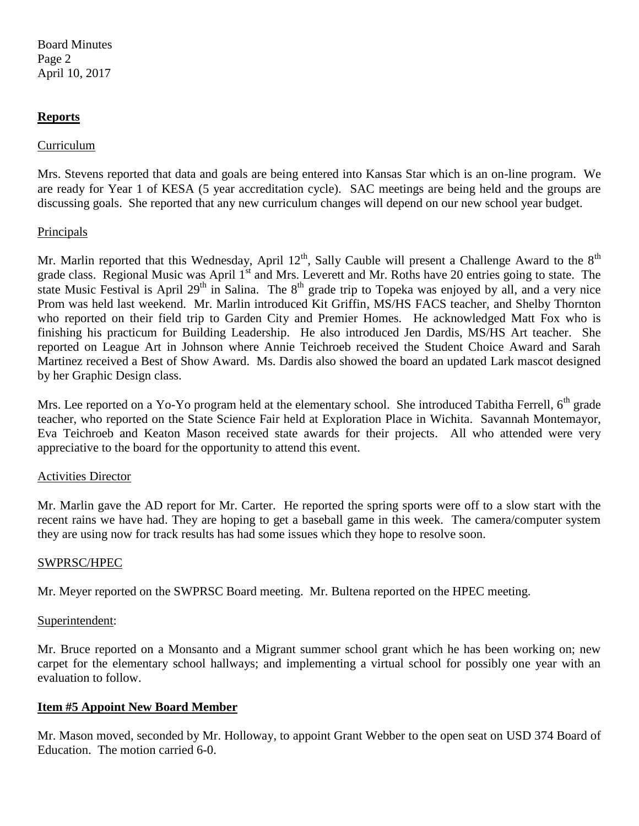Board Minutes Page 2 April 10, 2017

### **Reports**

#### Curriculum

Mrs. Stevens reported that data and goals are being entered into Kansas Star which is an on-line program. We are ready for Year 1 of KESA (5 year accreditation cycle). SAC meetings are being held and the groups are discussing goals. She reported that any new curriculum changes will depend on our new school year budget.

### **Principals**

Mr. Marlin reported that this Wednesday, April  $12^{th}$ , Sally Cauble will present a Challenge Award to the  $8^{th}$ grade class. Regional Music was April 1<sup>st</sup> and Mrs. Leverett and Mr. Roths have 20 entries going to state. The state Music Festival is April 29<sup>th</sup> in Salina. The 8<sup>th</sup> grade trip to Topeka was enjoyed by all, and a very nice Prom was held last weekend. Mr. Marlin introduced Kit Griffin, MS/HS FACS teacher, and Shelby Thornton who reported on their field trip to Garden City and Premier Homes. He acknowledged Matt Fox who is finishing his practicum for Building Leadership. He also introduced Jen Dardis, MS/HS Art teacher. She reported on League Art in Johnson where Annie Teichroeb received the Student Choice Award and Sarah Martinez received a Best of Show Award. Ms. Dardis also showed the board an updated Lark mascot designed by her Graphic Design class.

Mrs. Lee reported on a Yo-Yo program held at the elementary school. She introduced Tabitha Ferrell, 6<sup>th</sup> grade teacher, who reported on the State Science Fair held at Exploration Place in Wichita. Savannah Montemayor, Eva Teichroeb and Keaton Mason received state awards for their projects. All who attended were very appreciative to the board for the opportunity to attend this event.

#### Activities Director

Mr. Marlin gave the AD report for Mr. Carter. He reported the spring sports were off to a slow start with the recent rains we have had. They are hoping to get a baseball game in this week. The camera/computer system they are using now for track results has had some issues which they hope to resolve soon.

#### SWPRSC/HPEC

Mr. Meyer reported on the SWPRSC Board meeting. Mr. Bultena reported on the HPEC meeting.

#### Superintendent:

Mr. Bruce reported on a Monsanto and a Migrant summer school grant which he has been working on; new carpet for the elementary school hallways; and implementing a virtual school for possibly one year with an evaluation to follow.

#### **Item #5 Appoint New Board Member**

Mr. Mason moved, seconded by Mr. Holloway, to appoint Grant Webber to the open seat on USD 374 Board of Education. The motion carried 6-0.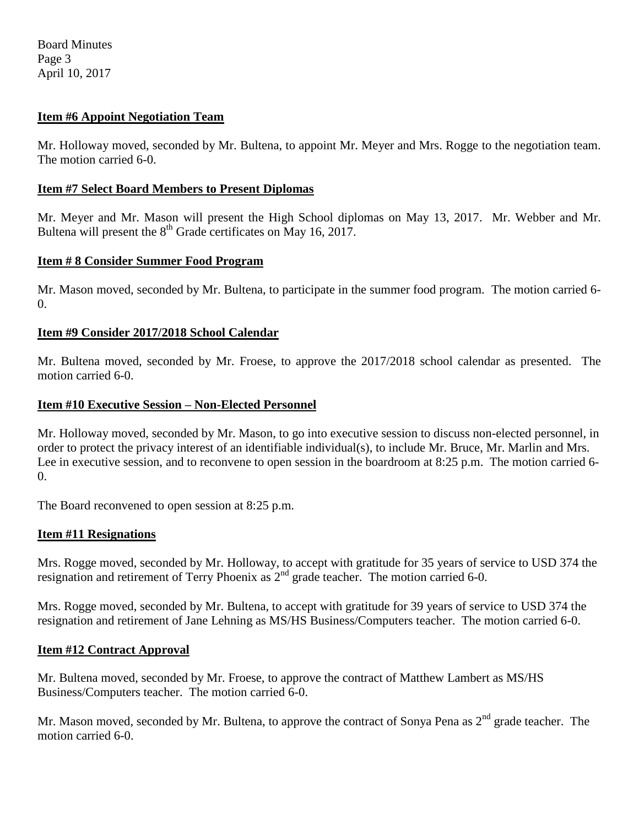Board Minutes Page 3 April 10, 2017

### **Item #6 Appoint Negotiation Team**

Mr. Holloway moved, seconded by Mr. Bultena, to appoint Mr. Meyer and Mrs. Rogge to the negotiation team. The motion carried 6-0.

#### **Item #7 Select Board Members to Present Diplomas**

Mr. Meyer and Mr. Mason will present the High School diplomas on May 13, 2017. Mr. Webber and Mr. Bultena will present the 8<sup>th</sup> Grade certificates on May 16, 2017.

#### **Item # 8 Consider Summer Food Program**

Mr. Mason moved, seconded by Mr. Bultena, to participate in the summer food program. The motion carried 6- 0.

#### **Item #9 Consider 2017/2018 School Calendar**

Mr. Bultena moved, seconded by Mr. Froese, to approve the 2017/2018 school calendar as presented. The motion carried 6-0.

#### **Item #10 Executive Session – Non-Elected Personnel**

Mr. Holloway moved, seconded by Mr. Mason, to go into executive session to discuss non-elected personnel, in order to protect the privacy interest of an identifiable individual(s), to include Mr. Bruce, Mr. Marlin and Mrs. Lee in executive session, and to reconvene to open session in the boardroom at 8:25 p.m. The motion carried 6-0.

The Board reconvened to open session at 8:25 p.m.

#### **Item #11 Resignations**

Mrs. Rogge moved, seconded by Mr. Holloway, to accept with gratitude for 35 years of service to USD 374 the resignation and retirement of Terry Phoenix as 2<sup>nd</sup> grade teacher. The motion carried 6-0.

Mrs. Rogge moved, seconded by Mr. Bultena, to accept with gratitude for 39 years of service to USD 374 the resignation and retirement of Jane Lehning as MS/HS Business/Computers teacher. The motion carried 6-0.

#### **Item #12 Contract Approval**

Mr. Bultena moved, seconded by Mr. Froese, to approve the contract of Matthew Lambert as MS/HS Business/Computers teacher. The motion carried 6-0.

Mr. Mason moved, seconded by Mr. Bultena, to approve the contract of Sonya Pena as 2<sup>nd</sup> grade teacher. The motion carried 6-0.